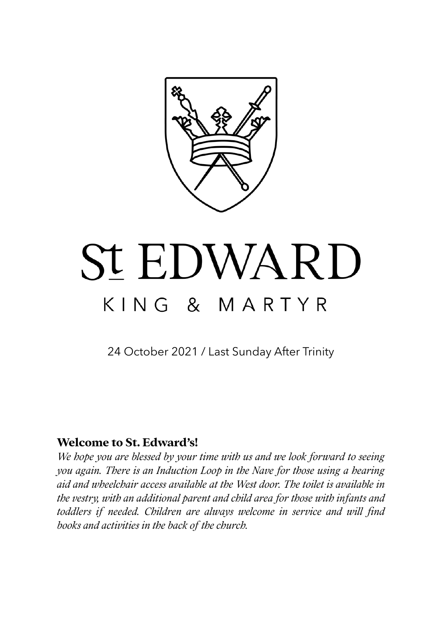

# **St EDWARD** KING & MARTYR

24 October 2021 / Last Sunday After Trinity

#### **Welcome to St. Edward's!**

*We hope you are blessed by your time with us and we look forward to seeing you again. There is an Induction Loop in the Nave for those using a hearing aid and wheelchair access available at the West door. The toilet is available in the vestry, with an additional parent and child area for those with infants and toddlers if needed. Children are always welcome in service and will find books and activities in the back of the church.*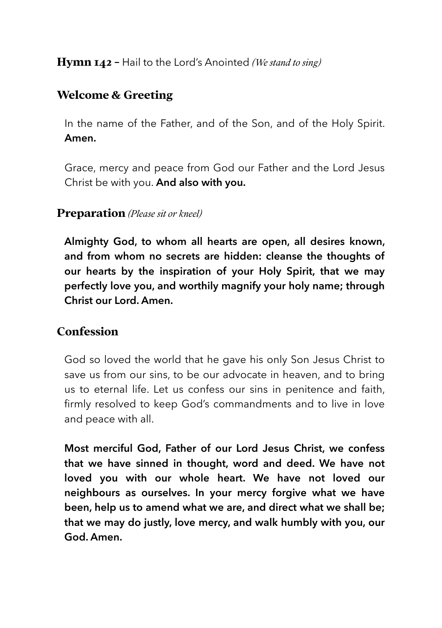#### **Hymn 142 -** Hail to the Lord's Anointed *(We stand to sing)*

#### **Welcome & Greeting**

In the name of the Father, and of the Son, and of the Holy Spirit. **Amen.**

Grace, mercy and peace from God our Father and the Lord Jesus Christ be with you. **And also with you.**

#### **Preparation** *(Please sit or kneel)*

**Almighty God, to whom all hearts are open, all desires known, and from whom no secrets are hidden: cleanse the thoughts of our hearts by the inspiration of your Holy Spirit, that we may perfectly love you, and worthily magnify your holy name; through Christ our Lord. Amen.** 

#### **Confession**

God so loved the world that he gave his only Son Jesus Christ to save us from our sins, to be our advocate in heaven, and to bring us to eternal life. Let us confess our sins in penitence and faith, firmly resolved to keep God's commandments and to live in love and peace with all.

**Most merciful God, Father of our Lord Jesus Christ, we confess that we have sinned in thought, word and deed. We have not loved you with our whole heart. We have not loved our neighbours as ourselves. In your mercy forgive what we have been, help us to amend what we are, and direct what we shall be; that we may do justly, love mercy, and walk humbly with you, our God. Amen.**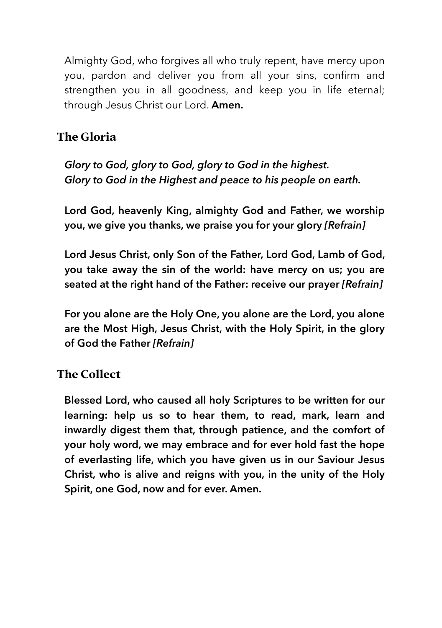Almighty God, who forgives all who truly repent, have mercy upon you, pardon and deliver you from all your sins, confirm and strengthen you in all goodness, and keep you in life eternal; through Jesus Christ our Lord. **Amen.**

# **The Gloria**

*Glory to God, glory to God, glory to God in the highest. Glory to God in the Highest and peace to his people on earth.* 

**Lord God, heavenly King, almighty God and Father, we worship you, we give you thanks, we praise you for your glory** *[Refrain]*

**Lord Jesus Christ, only Son of the Father, Lord God, Lamb of God, you take away the sin of the world: have mercy on us; you are seated at the right hand of the Father: receive our prayer** *[Refrain]*

**For you alone are the Holy One, you alone are the Lord, you alone are the Most High, Jesus Christ, with the Holy Spirit, in the glory of God the Father** *[Refrain]*

## **The Collect**

**Blessed Lord, who caused all holy Scriptures to be written for our learning: help us so to hear them, to read, mark, learn and inwardly digest them that, through patience, and the comfort of your holy word, we may embrace and for ever hold fast the hope of everlasting life, which you have given us in our Saviour Jesus Christ, who is alive and reigns with you, in the unity of the Holy Spirit, one God, now and for ever. Amen.**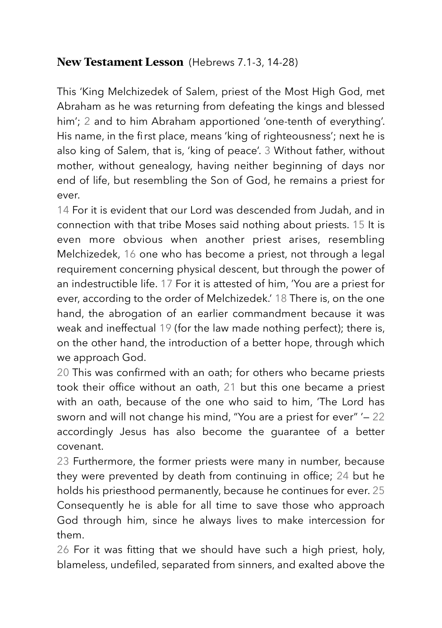## **New Testament Lesson** (Hebrews 7.1-3, 14-28)

This 'King Melchizedek of Salem, priest of the Most High God, met Abraham as he was returning from defeating the kings and blessed him'; 2 and to him Abraham apportioned 'one-tenth of everything'. His name, in the first place, means 'king of righteousness'; next he is also king of Salem, that is, 'king of peace'. 3 Without father, without mother, without genealogy, having neither beginning of days nor end of life, but resembling the Son of God, he remains a priest for ever.

14 For it is evident that our Lord was descended from Judah, and in connection with that tribe Moses said nothing about priests. 15 It is even more obvious when another priest arises, resembling Melchizedek, 16 one who has become a priest, not through a legal requirement concerning physical descent, but through the power of an indestructible life. 17 For it is attested of him, 'You are a priest for ever, according to the order of Melchizedek.' 18 There is, on the one hand, the abrogation of an earlier commandment because it was weak and ineffectual 19 (for the law made nothing perfect); there is, on the other hand, the introduction of a better hope, through which we approach God.

20 This was confirmed with an oath; for others who became priests took their office without an oath, 21 but this one became a priest with an oath, because of the one who said to him, 'The Lord has sworn and will not change his mind, "You are a priest for ever" '— 22 accordingly Jesus has also become the guarantee of a better covenant.

23 Furthermore, the former priests were many in number, because they were prevented by death from continuing in office; 24 but he holds his priesthood permanently, because he continues for ever. 25 Consequently he is able for all time to save those who approach God through him, since he always lives to make intercession for them.

26 For it was fitting that we should have such a high priest, holy, blameless, undefiled, separated from sinners, and exalted above the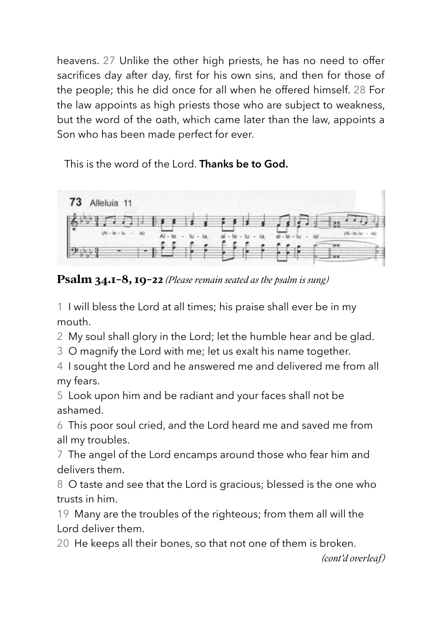heavens. 27 Unlike the other high priests, he has no need to offer sacrifices day after day, first for his own sins, and then for those of the people; this he did once for all when he offered himself. 28 For the law appoints as high priests those who are subject to weakness, but the word of the oath, which came later than the law, appoints a Son who has been made perfect for ever.

This is the word of the Lord. **Thanks be to God.**



**Psalm 34.1-8, 19-22** *(Please remain seated as the psalm is sung)*

1 I will bless the Lord at all times; his praise shall ever be in my mouth.

2 My soul shall glory in the Lord; let the humble hear and be glad.

3 O magnify the Lord with me; let us exalt his name together.

4 I sought the Lord and he answered me and delivered me from all my fears.

5 Look upon him and be radiant and your faces shall not be ashamed.

6 This poor soul cried, and the Lord heard me and saved me from all my troubles.

7 The angel of the Lord encamps around those who fear him and delivers them.

8 O taste and see that the Lord is gracious; blessed is the one who trusts in him.

19 Many are the troubles of the righteous; from them all will the Lord deliver them.

20 He keeps all their bones, so that not one of them is broken.

*(cont'd overleaf)*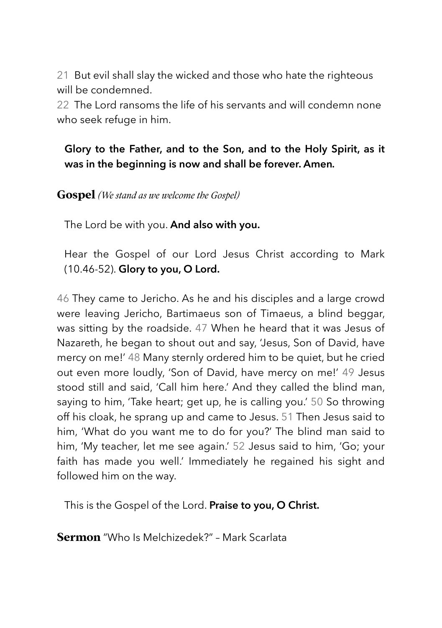21 But evil shall slay the wicked and those who hate the righteous will be condemned.

22 The Lord ransoms the life of his servants and will condemn none who seek refuge in him.

#### **Glory to the Father, and to the Son, and to the Holy Spirit, as it was in the beginning is now and shall be forever. Amen***.*

**Gospel** *(We stand as we welcome the Gospel)*

The Lord be with you. **And also with you.**

Hear the Gospel of our Lord Jesus Christ according to Mark (10.46-52). **Glory to you, O Lord.**

46 They came to Jericho. As he and his disciples and a large crowd were leaving Jericho, Bartimaeus son of Timaeus, a blind beggar, was sitting by the roadside. 47 When he heard that it was Jesus of Nazareth, he began to shout out and say, 'Jesus, Son of David, have mercy on me!' 48 Many sternly ordered him to be quiet, but he cried out even more loudly, 'Son of David, have mercy on me!' 49 Jesus stood still and said, 'Call him here.' And they called the blind man, saying to him, 'Take heart; get up, he is calling you.' 50 So throwing off his cloak, he sprang up and came to Jesus. 51 Then Jesus said to him, 'What do you want me to do for you?' The blind man said to him, 'My teacher, let me see again.' 52 Jesus said to him, 'Go; your faith has made you well.' Immediately he regained his sight and followed him on the way.

This is the Gospel of the Lord. **Praise to you, O Christ.**

**Sermon** "Who Is Melchizedek?" – Mark Scarlata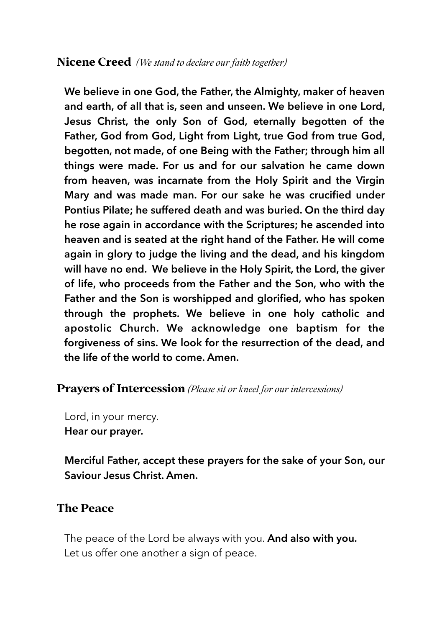**We believe in one God, the Father, the Almighty, maker of heaven and earth, of all that is, seen and unseen. We believe in one Lord, Jesus Christ, the only Son of God, eternally begotten of the Father, God from God, Light from Light, true God from true God, begotten, not made, of one Being with the Father; through him all things were made. For us and for our salvation he came down from heaven, was incarnate from the Holy Spirit and the Virgin Mary and was made man. For our sake he was crucified under Pontius Pilate; he suffered death and was buried. On the third day he rose again in accordance with the Scriptures; he ascended into heaven and is seated at the right hand of the Father. He will come again in glory to judge the living and the dead, and his kingdom will have no end. We believe in the Holy Spirit, the Lord, the giver of life, who proceeds from the Father and the Son, who with the Father and the Son is worshipped and glorified, who has spoken through the prophets. We believe in one holy catholic and apostolic Church. We acknowledge one baptism for the forgiveness of sins. We look for the resurrection of the dead, and the life of the world to come. Amen.** 

#### **Prayers of Intercession** *(Please sit or kneel for our intercessions)*

Lord, in your mercy. **Hear our prayer.** 

**Merciful Father, accept these prayers for the sake of your Son, our Saviour Jesus Christ. Amen.** 

#### **The Peace**

The peace of the Lord be always with you. **And also with you.**  Let us offer one another a sign of peace.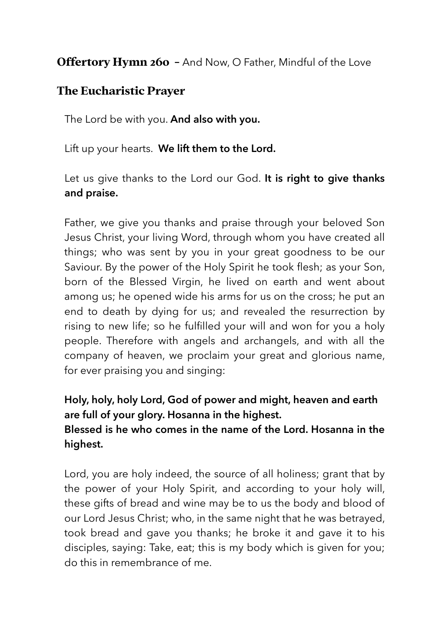## **Offertory Hymn 260 - And Now, O Father, Mindful of the Love**

#### **The Eucharistic Prayer**

The Lord be with you. **And also with you.** 

Lift up your hearts. **We lift them to the Lord.** 

Let us give thanks to the Lord our God. **It is right to give thanks and praise.** 

Father, we give you thanks and praise through your beloved Son Jesus Christ, your living Word, through whom you have created all things; who was sent by you in your great goodness to be our Saviour. By the power of the Holy Spirit he took flesh; as your Son, born of the Blessed Virgin, he lived on earth and went about among us; he opened wide his arms for us on the cross; he put an end to death by dying for us; and revealed the resurrection by rising to new life; so he fulfilled your will and won for you a holy people. Therefore with angels and archangels, and with all the company of heaven, we proclaim your great and glorious name, for ever praising you and singing:

## **Holy, holy, holy Lord, God of power and might, heaven and earth are full of your glory. Hosanna in the highest.**

# **Blessed is he who comes in the name of the Lord. Hosanna in the highest.**

Lord, you are holy indeed, the source of all holiness; grant that by the power of your Holy Spirit, and according to your holy will, these gifts of bread and wine may be to us the body and blood of our Lord Jesus Christ; who, in the same night that he was betrayed, took bread and gave you thanks; he broke it and gave it to his disciples, saying: Take, eat; this is my body which is given for you; do this in remembrance of me.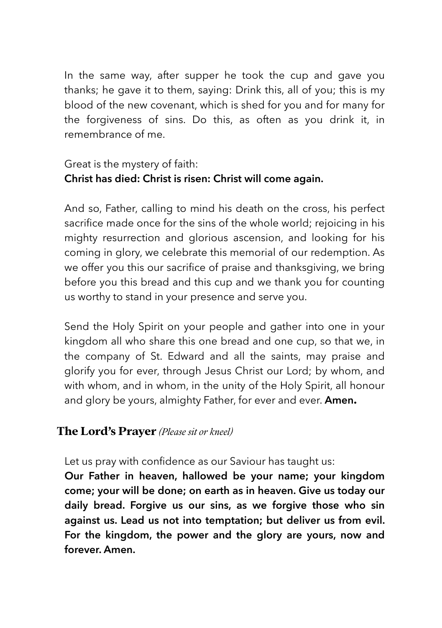In the same way, after supper he took the cup and gave you thanks; he gave it to them, saying: Drink this, all of you; this is my blood of the new covenant, which is shed for you and for many for the forgiveness of sins. Do this, as often as you drink it, in remembrance of me.

### Great is the mystery of faith: **Christ has died: Christ is risen: Christ will come again.**

And so, Father, calling to mind his death on the cross, his perfect sacrifice made once for the sins of the whole world; rejoicing in his mighty resurrection and glorious ascension, and looking for his coming in glory, we celebrate this memorial of our redemption. As we offer you this our sacrifice of praise and thanksgiving, we bring before you this bread and this cup and we thank you for counting us worthy to stand in your presence and serve you.

Send the Holy Spirit on your people and gather into one in your kingdom all who share this one bread and one cup, so that we, in the company of St. Edward and all the saints, may praise and glorify you for ever, through Jesus Christ our Lord; by whom, and with whom, and in whom, in the unity of the Holy Spirit, all honour and glory be yours, almighty Father, for ever and ever. **Amen.** 

#### **The Lord's Prayer** *(Please sit or kneel)*

Let us pray with confidence as our Saviour has taught us:

**Our Father in heaven, hallowed be your name; your kingdom come; your will be done; on earth as in heaven. Give us today our daily bread. Forgive us our sins, as we forgive those who sin against us. Lead us not into temptation; but deliver us from evil. For the kingdom, the power and the glory are yours, now and forever. Amen.**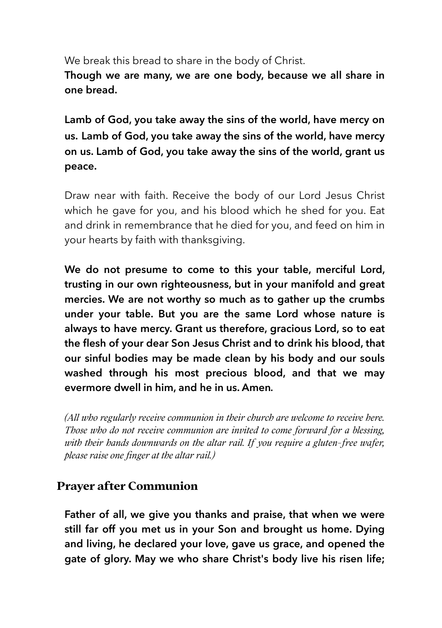We break this bread to share in the body of Christ.

**Though we are many, we are one body, because we all share in one bread.**

**Lamb of God, you take away the sins of the world, have mercy on us. Lamb of God, you take away the sins of the world, have mercy on us. Lamb of God, you take away the sins of the world, grant us peace.**

Draw near with faith. Receive the body of our Lord Jesus Christ which he gave for you, and his blood which he shed for you. Eat and drink in remembrance that he died for you, and feed on him in your hearts by faith with thanksgiving.

**We do not presume to come to this your table, merciful Lord, trusting in our own righteousness, but in your manifold and great mercies. We are not worthy so much as to gather up the crumbs under your table. But you are the same Lord whose nature is always to have mercy. Grant us therefore, gracious Lord, so to eat the flesh of your dear Son Jesus Christ and to drink his blood, that our sinful bodies may be made clean by his body and our souls washed through his most precious blood, and that we may evermore dwell in him, and he in us. Amen***.*

*(All who regularly receive communion in their church are welcome to receive here. Those who do not receive communion are invited to come forward for a blessing, with their hands downwards on the altar rail. If you require a gluten-free wafer, please raise one finger at the altar rail.)*

## **Prayer after Communion**

**Father of all, we give you thanks and praise, that when we were still far off you met us in your Son and brought us home. Dying and living, he declared your love, gave us grace, and opened the gate of glory. May we who share Christ's body live his risen life;**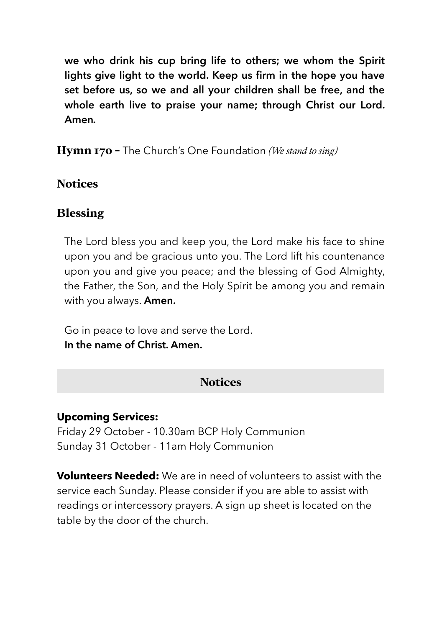**we who drink his cup bring life to others; we whom the Spirit lights give light to the world. Keep us firm in the hope you have set before us, so we and all your children shall be free, and the whole earth live to praise your name; through Christ our Lord. Amen***.* 

**Hymn 170 -** The Church's One Foundation *(We stand to sing)*

# **Notices**

# **Blessing**

The Lord bless you and keep you, the Lord make his face to shine upon you and be gracious unto you. The Lord lift his countenance upon you and give you peace; and the blessing of God Almighty, the Father, the Son, and the Holy Spirit be among you and remain with you always. **Amen.**

Go in peace to love and serve the Lord. **In the name of Christ. Amen.** 

# **Notices**

## **Upcoming Services:**

Friday 29 October - 10.30am BCP Holy Communion Sunday 31 October - 11am Holy Communion

**Volunteers Needed:** We are in need of volunteers to assist with the service each Sunday. Please consider if you are able to assist with readings or intercessory prayers. A sign up sheet is located on the table by the door of the church.